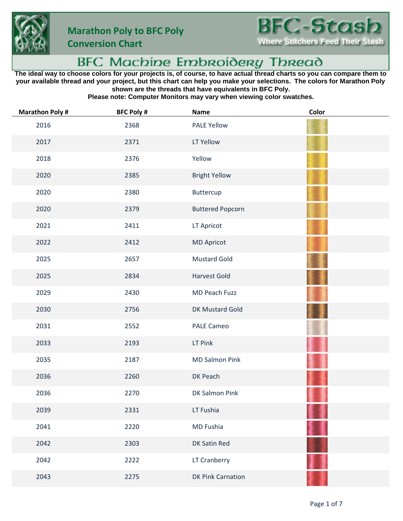





## BFC Machine Embroidery Thread

**The ideal way to choose colors for your projects is, of course, to have actual thread charts so you can compare them to your available thread and your project, but this chart can help you make your selections. The colors for Marathon Poly shown are the threads that have equivalents in BFC Poly.**

**Please note: Computer Monitors may vary when viewing color swatches.**

| <b>Marathon Poly#</b> | <b>BFC Poly #</b> | <b>Name</b>              | Color |
|-----------------------|-------------------|--------------------------|-------|
| 2016                  | 2368              | <b>PALE Yellow</b>       |       |
| 2017                  | 2371              | LT Yellow                |       |
| 2018                  | 2376              | Yellow                   |       |
| 2020                  | 2385              | <b>Bright Yellow</b>     |       |
| 2020                  | 2380              | Buttercup                |       |
| 2020                  | 2379              | <b>Buttered Popcorn</b>  |       |
| 2021                  | 2411              | LT Apricot               |       |
| 2022                  | 2412              | <b>MD Apricot</b>        |       |
| 2025                  | 2657              | <b>Mustard Gold</b>      |       |
| 2025                  | 2834              | <b>Harvest Gold</b>      |       |
| 2029                  | 2430              | MD Peach Fuzz            |       |
| 2030                  | 2756              | DK Mustard Gold          |       |
| 2031                  | 2552              | <b>PALE Cameo</b>        |       |
| 2033                  | 2193              | LT Pink                  |       |
| 2035                  | 2187              | <b>MD Salmon Pink</b>    |       |
| 2036                  | 2260              | DK Peach                 |       |
| 2036                  | 2270              | DK Salmon Pink           |       |
| 2039                  | 2331              | LT Fushia                |       |
| 2041                  | 2220              | MD Fushia                |       |
| 2042                  | 2303              | DK Satin Red             |       |
| 2042                  | 2222              | LT Cranberry             |       |
| 2043                  | 2275              | <b>DK Pink Carnation</b> |       |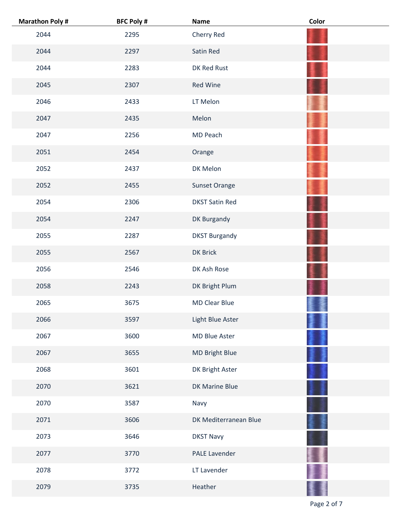| <b>Marathon Poly#</b> | <b>BFC Poly #</b> | <b>Name</b>           | Color |
|-----------------------|-------------------|-----------------------|-------|
| 2044                  | 2295              | Cherry Red            |       |
| 2044                  | 2297              | Satin Red             |       |
| 2044                  | 2283              | DK Red Rust           |       |
| 2045                  | 2307              | <b>Red Wine</b>       |       |
| 2046                  | 2433              | LT Melon              |       |
| 2047                  | 2435              | Melon                 |       |
| 2047                  | 2256              | MD Peach              |       |
| 2051                  | 2454              | Orange                |       |
| 2052                  | 2437              | DK Melon              |       |
| 2052                  | 2455              | Sunset Orange         |       |
| 2054                  | 2306              | <b>DKST Satin Red</b> |       |
| 2054                  | 2247              | DK Burgandy           |       |
| 2055                  | 2287              | <b>DKST Burgandy</b>  |       |
| 2055                  | 2567              | <b>DK Brick</b>       |       |
| 2056                  | 2546              | DK Ash Rose           |       |
| 2058                  | 2243              | DK Bright Plum        |       |
| 2065                  | 3675              | <b>MD Clear Blue</b>  |       |
| 2066                  | 3597              | Light Blue Aster      |       |
| 2067                  | 3600              | MD Blue Aster         |       |
| 2067                  | 3655              | MD Bright Blue        |       |
| 2068                  | 3601              | DK Bright Aster       |       |
| 2070                  | 3621              | DK Marine Blue        |       |
| 2070                  | 3587              | Navy                  |       |
| 2071                  | 3606              | DK Mediterranean Blue |       |
| 2073                  | 3646              | <b>DKST Navy</b>      |       |
| 2077                  | 3770              | PALE Lavender         |       |
| 2078                  | 3772              | LT Lavender           |       |
| 2079                  | 3735              | Heather               |       |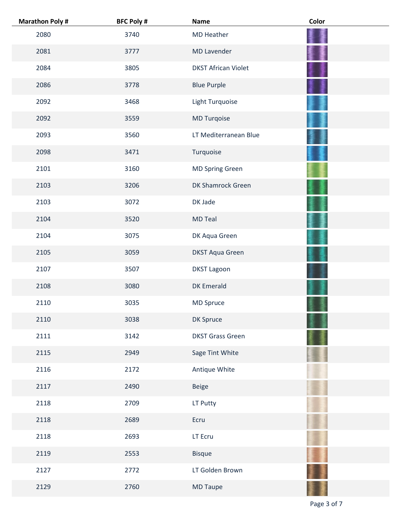| <b>Marathon Poly #</b> | <b>BFC Poly #</b> | <b>Name</b>                | Color |
|------------------------|-------------------|----------------------------|-------|
| 2080                   | 3740              | <b>MD Heather</b>          |       |
| 2081                   | 3777              | <b>MD Lavender</b>         |       |
| 2084                   | 3805              | <b>DKST African Violet</b> |       |
| 2086                   | 3778              | <b>Blue Purple</b>         |       |
| 2092                   | 3468              | Light Turquoise            |       |
| 2092                   | 3559              | MD Turqoise                |       |
| 2093                   | 3560              | LT Mediterranean Blue      |       |
| 2098                   | 3471              | Turquoise                  |       |
| 2101                   | 3160              | MD Spring Green            |       |
| 2103                   | 3206              | DK Shamrock Green          |       |
| 2103                   | 3072              | DK Jade                    |       |
| 2104                   | 3520              | <b>MD Teal</b>             |       |
| 2104                   | 3075              | DK Aqua Green              |       |
| 2105                   | 3059              | <b>DKST Aqua Green</b>     |       |
| 2107                   | 3507              | <b>DKST Lagoon</b>         |       |
| 2108                   | 3080              | <b>DK Emerald</b>          |       |
| 2110                   | 3035              | MD Spruce                  |       |
| 2110                   | 3038              | DK Spruce                  |       |
| 2111                   | 3142              | <b>DKST Grass Green</b>    |       |
| 2115                   | 2949              | Sage Tint White            |       |
| 2116                   | 2172              | Antique White              |       |
| 2117                   | 2490              | Beige                      |       |
| 2118                   | 2709              | LT Putty                   |       |
| 2118                   | 2689              | Ecru                       |       |
| 2118                   | 2693              | LT Ecru                    |       |
| 2119                   | 2553              | <b>Bisque</b>              |       |
| 2127                   | 2772              | LT Golden Brown            |       |
| 2129                   | 2760              | MD Taupe                   |       |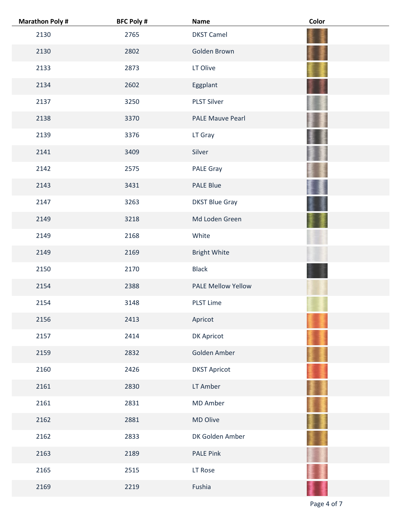| <b>Marathon Poly#</b> | <b>BFC Poly #</b> | <b>Name</b>               | Color |
|-----------------------|-------------------|---------------------------|-------|
| 2130                  | 2765              | <b>DKST Camel</b>         |       |
| 2130                  | 2802              | Golden Brown              |       |
| 2133                  | 2873              | LT Olive                  |       |
| 2134                  | 2602              | Eggplant                  |       |
| 2137                  | 3250              | <b>PLST Silver</b>        |       |
| 2138                  | 3370              | <b>PALE Mauve Pearl</b>   |       |
| 2139                  | 3376              | LT Gray                   |       |
| 2141                  | 3409              | Silver                    |       |
| 2142                  | 2575              | PALE Gray                 |       |
| 2143                  | 3431              | <b>PALE Blue</b>          |       |
| 2147                  | 3263              | <b>DKST Blue Gray</b>     |       |
| 2149                  | 3218              | Md Loden Green            |       |
| 2149                  | 2168              | White                     |       |
| 2149                  | 2169              | <b>Bright White</b>       |       |
| 2150                  | 2170              | <b>Black</b>              |       |
| 2154                  | 2388              | <b>PALE Mellow Yellow</b> |       |
| 2154                  | 3148              | <b>PLST Lime</b>          |       |
| 2156                  | 2413              | Apricot                   |       |
| 2157                  | 2414              | DK Apricot                |       |
| 2159                  | 2832              | Golden Amber              |       |
| 2160                  | 2426              | <b>DKST Apricot</b>       |       |
| 2161                  | 2830              | LT Amber                  |       |
| 2161                  | 2831              | MD Amber                  |       |
| 2162                  | 2881              | MD Olive                  |       |
| 2162                  | 2833              | DK Golden Amber           |       |
| 2163                  | 2189              | <b>PALE Pink</b>          |       |
| 2165                  | 2515              | LT Rose                   |       |
| 2169                  | 2219              | Fushia                    |       |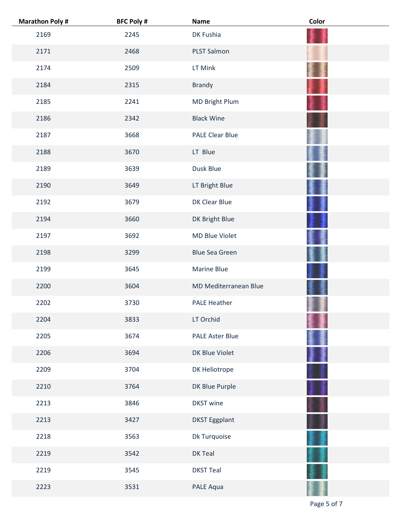| <b>Marathon Poly#</b> | <b>BFC Poly #</b> | Name                   | Color |
|-----------------------|-------------------|------------------------|-------|
| 2169                  | 2245              | DK Fushia              |       |
| 2171                  | 2468              | PLST Salmon            |       |
| 2174                  | 2509              | LT Mink                |       |
| 2184                  | 2315              | <b>Brandy</b>          |       |
| 2185                  | 2241              | MD Bright Plum         |       |
| 2186                  | 2342              | <b>Black Wine</b>      |       |
| 2187                  | 3668              | <b>PALE Clear Blue</b> |       |
| 2188                  | 3670              | LT Blue                |       |
| 2189                  | 3639              | Dusk Blue              |       |
| 2190                  | 3649              | LT Bright Blue         |       |
| 2192                  | 3679              | DK Clear Blue          |       |
| 2194                  | 3660              | DK Bright Blue         |       |
| 2197                  | 3692              | MD Blue Violet         |       |
| 2198                  | 3299              | <b>Blue Sea Green</b>  |       |
| 2199                  | 3645              | <b>Marine Blue</b>     |       |
| 2200                  | 3604              | MD Mediterranean Blue  |       |
| 2202                  | 3730              | <b>PALE Heather</b>    |       |
| 2204                  | 3833              | LT Orchid              |       |
| 2205                  | 3674              | <b>PALE Aster Blue</b> |       |
| 2206                  | 3694              | DK Blue Violet         |       |
| 2209                  | 3704              | DK Heliotrope          |       |
| 2210                  | 3764              | DK Blue Purple         |       |
| 2213                  | 3846              | <b>DKST</b> wine       |       |
| 2213                  | 3427              | <b>DKST Eggplant</b>   |       |
| 2218                  | 3563              | Dk Turquoise           |       |
| 2219                  | 3542              | DK Teal                |       |
| 2219                  | 3545              | <b>DKST Teal</b>       |       |
| 2223                  | 3531              | PALE Aqua              |       |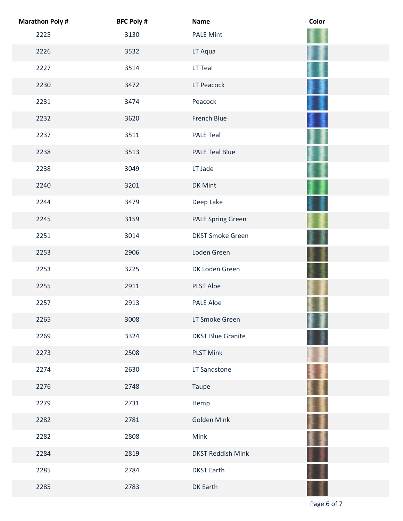| <b>Marathon Poly#</b> | <b>BFC Poly #</b> | <b>Name</b>              | Color |
|-----------------------|-------------------|--------------------------|-------|
| 2225                  | 3130              | <b>PALE Mint</b>         |       |
| 2226                  | 3532              | LT Aqua                  |       |
| 2227                  | 3514              | LT Teal                  |       |
| 2230                  | 3472              | LT Peacock               |       |
| 2231                  | 3474              | Peacock                  |       |
| 2232                  | 3620              | French Blue              |       |
| 2237                  | 3511              | <b>PALE Teal</b>         |       |
| 2238                  | 3513              | <b>PALE Teal Blue</b>    |       |
| 2238                  | 3049              | LT Jade                  |       |
| 2240                  | 3201              | DK Mint                  |       |
| 2244                  | 3479              | Deep Lake                |       |
| 2245                  | 3159              | <b>PALE Spring Green</b> |       |
| 2251                  | 3014              | <b>DKST Smoke Green</b>  |       |
| 2253                  | 2906              | Loden Green              |       |
| 2253                  | 3225              | DK Loden Green           |       |
| 2255                  | 2911              | <b>PLST Aloe</b>         |       |
| 2257                  | 2913              | <b>PALE Aloe</b>         |       |
| 2265                  | 3008              | LT Smoke Green           |       |
| 2269                  | 3324              | <b>DKST Blue Granite</b> |       |
| 2273                  | 2508              | <b>PLST Mink</b>         |       |
| 2274                  | 2630              | LT Sandstone             |       |
| 2276                  | 2748              | Taupe                    |       |
| 2279                  | 2731              | Hemp                     |       |
| 2282                  | 2781              | Golden Mink              |       |
| 2282                  | 2808              | Mink                     |       |
| 2284                  | 2819              | <b>DKST Reddish Mink</b> |       |
| 2285                  | 2784              | <b>DKST Earth</b>        |       |
| 2285                  | 2783              | <b>DK Earth</b>          |       |